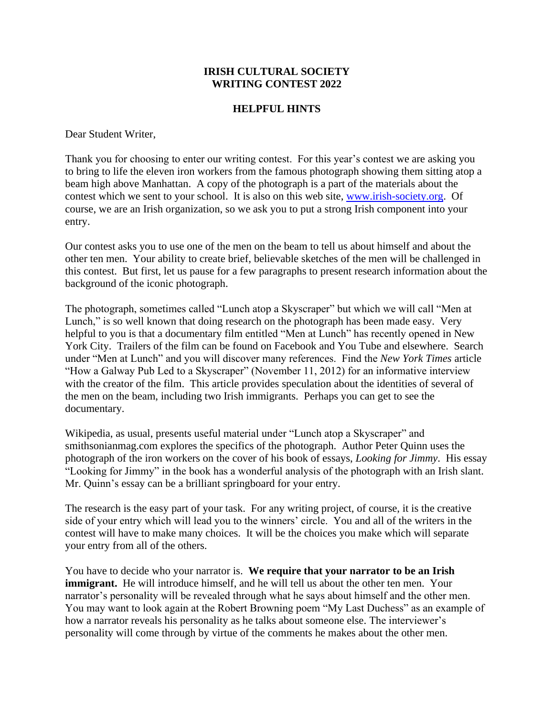## **IRISH CULTURAL SOCIETY WRITING CONTEST 2022**

## **HELPFUL HINTS**

Dear Student Writer,

Thank you for choosing to enter our writing contest. For this year's contest we are asking you to bring to life the eleven iron workers from the famous photograph showing them sitting atop a beam high above Manhattan. A copy of the photograph is a part of the materials about the contest which we sent to your school. It is also on this web site, [www.irish-society.org.](http://www.irish-society.org/) Of course, we are an Irish organization, so we ask you to put a strong Irish component into your entry.

Our contest asks you to use one of the men on the beam to tell us about himself and about the other ten men. Your ability to create brief, believable sketches of the men will be challenged in this contest. But first, let us pause for a few paragraphs to present research information about the background of the iconic photograph.

The photograph, sometimes called "Lunch atop a Skyscraper" but which we will call "Men at Lunch," is so well known that doing research on the photograph has been made easy. Very helpful to you is that a documentary film entitled "Men at Lunch" has recently opened in New York City. Trailers of the film can be found on Facebook and You Tube and elsewhere. Search under "Men at Lunch" and you will discover many references. Find the *New York Times* article "How a Galway Pub Led to a Skyscraper" (November 11, 2012) for an informative interview with the creator of the film. This article provides speculation about the identities of several of the men on the beam, including two Irish immigrants. Perhaps you can get to see the documentary.

Wikipedia, as usual, presents useful material under "Lunch atop a Skyscraper" and smithsonianmag.com explores the specifics of the photograph. Author Peter Quinn uses the photograph of the iron workers on the cover of his book of essays, *Looking for Jimmy*. His essay "Looking for Jimmy" in the book has a wonderful analysis of the photograph with an Irish slant. Mr. Quinn's essay can be a brilliant springboard for your entry.

The research is the easy part of your task. For any writing project, of course, it is the creative side of your entry which will lead you to the winners' circle. You and all of the writers in the contest will have to make many choices. It will be the choices you make which will separate your entry from all of the others.

You have to decide who your narrator is. **We require that your narrator to be an Irish immigrant.** He will introduce himself, and he will tell us about the other ten men. Your narrator's personality will be revealed through what he says about himself and the other men. You may want to look again at the Robert Browning poem "My Last Duchess" as an example of how a narrator reveals his personality as he talks about someone else. The interviewer's personality will come through by virtue of the comments he makes about the other men.